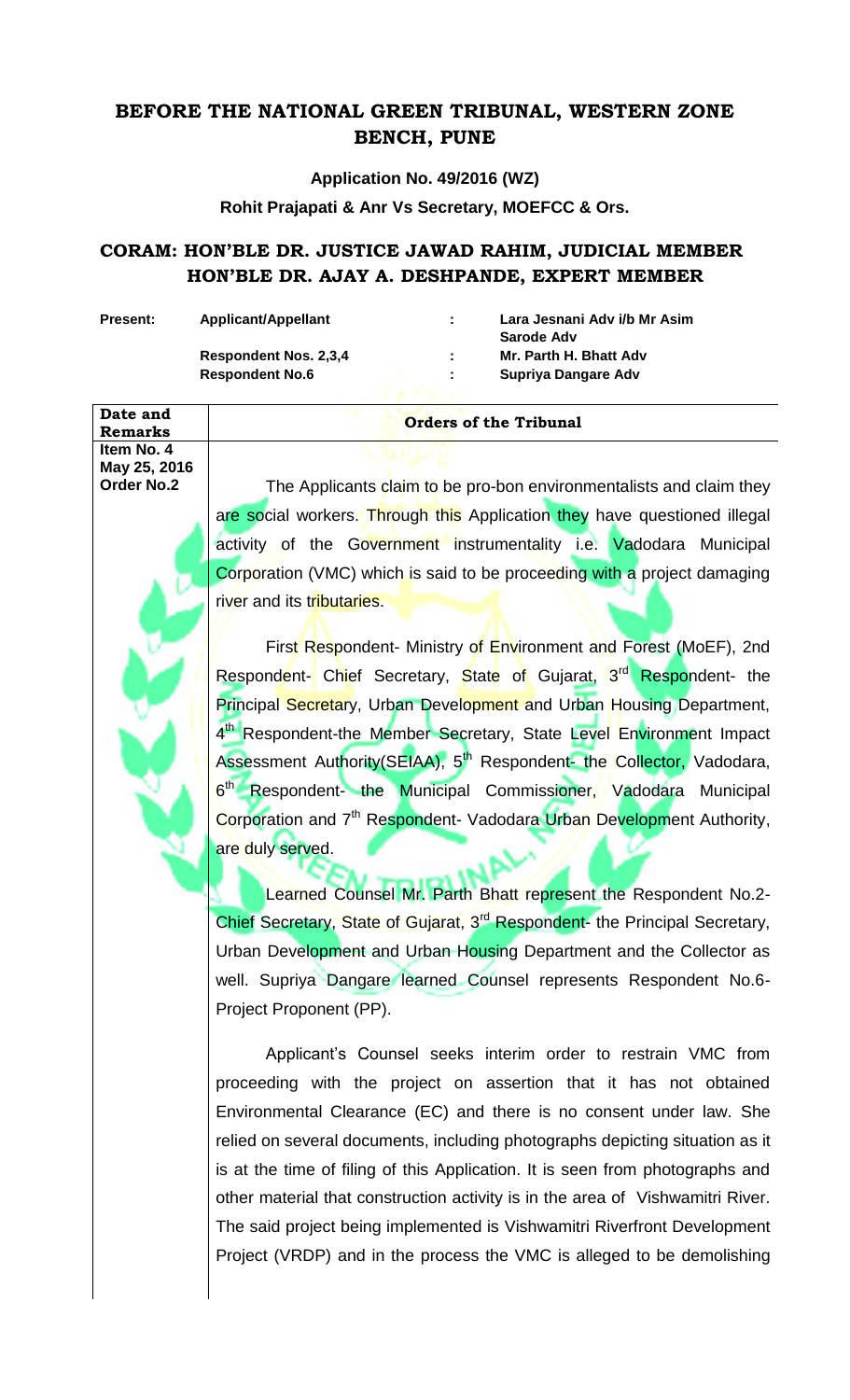## **BEFORE THE NATIONAL GREEN TRIBUNAL, WESTERN ZONE BENCH, PUNE**

**Application No. 49/2016 (WZ)**

**Rohit Prajapati & Anr Vs Secretary, MOEFCC & Ors.**

## **CORAM: HON'BLE DR. JUSTICE JAWAD RAHIM, JUDICIAL MEMBER HON'BLE DR. AJAY A. DESHPANDE, EXPERT MEMBER**

**Date and** 

**Item No. 4 May 25, 2016**

**Present: Applicant/Appellant : Lara Jesnani Adv i/b Mr Asim Sarode Adv Respondent Nos. 2,3,4 : Mr. Parth H. Bhatt Adv Respondent No.6 : Supriya Dangare Adv**

## **Remarks** *Remarks Remarks Remarks Remarks Remarks Remarks Remarks Remarks Remarks Remarks Remarks Remarks Remarks Remarks Remarks Remarks Remarks Remark*

**Order No.2** The Applicants claim to be pro-bon environmentalists and claim they are social workers. Through this Application they have questioned illegal activity of the Government instrumentality i.e. Vadodara Municipal Corporation (VMC) which is said to be proceeding with a project damaging river and its tributaries.

> First Respondent- Ministry of Environment and Forest (MoEF), 2nd Respondent- Chief Secretary, State of Gujarat, 3<sup>rd</sup> Respondent- the Principal Secretary, Urban Development and Urban Housing Department, 4<sup>th</sup> Respondent-the Member Secretary, State Level Environment Impact Assessment Authority(SEIAA), 5<sup>th</sup> Respondent- the Collector, Vadodara, 6<sup>th</sup> Respondent- the Municipal Commissioner, Vadodara Municipal Corporation and 7<sup>th</sup> Respondent- Vadodara Urban Development Authority, are duly served.

> Learned Counsel Mr. Parth Bhatt represent the Respondent No.2- Chief Secretary, State of Gujarat, 3<sup>rd</sup> Respondent- the Principal Secretary, Urban Development and Urban Housing Department and the Collector as well. Supriya Dangare learned Counsel represents Respondent No.6- Project Proponent (PP).

> Applicant's Counsel seeks interim order to restrain VMC from proceeding with the project on assertion that it has not obtained Environmental Clearance (EC) and there is no consent under law. She relied on several documents, including photographs depicting situation as it is at the time of filing of this Application. It is seen from photographs and other material that construction activity is in the area of Vishwamitri River. The said project being implemented is Vishwamitri Riverfront Development Project (VRDP) and in the process the VMC is alleged to be demolishing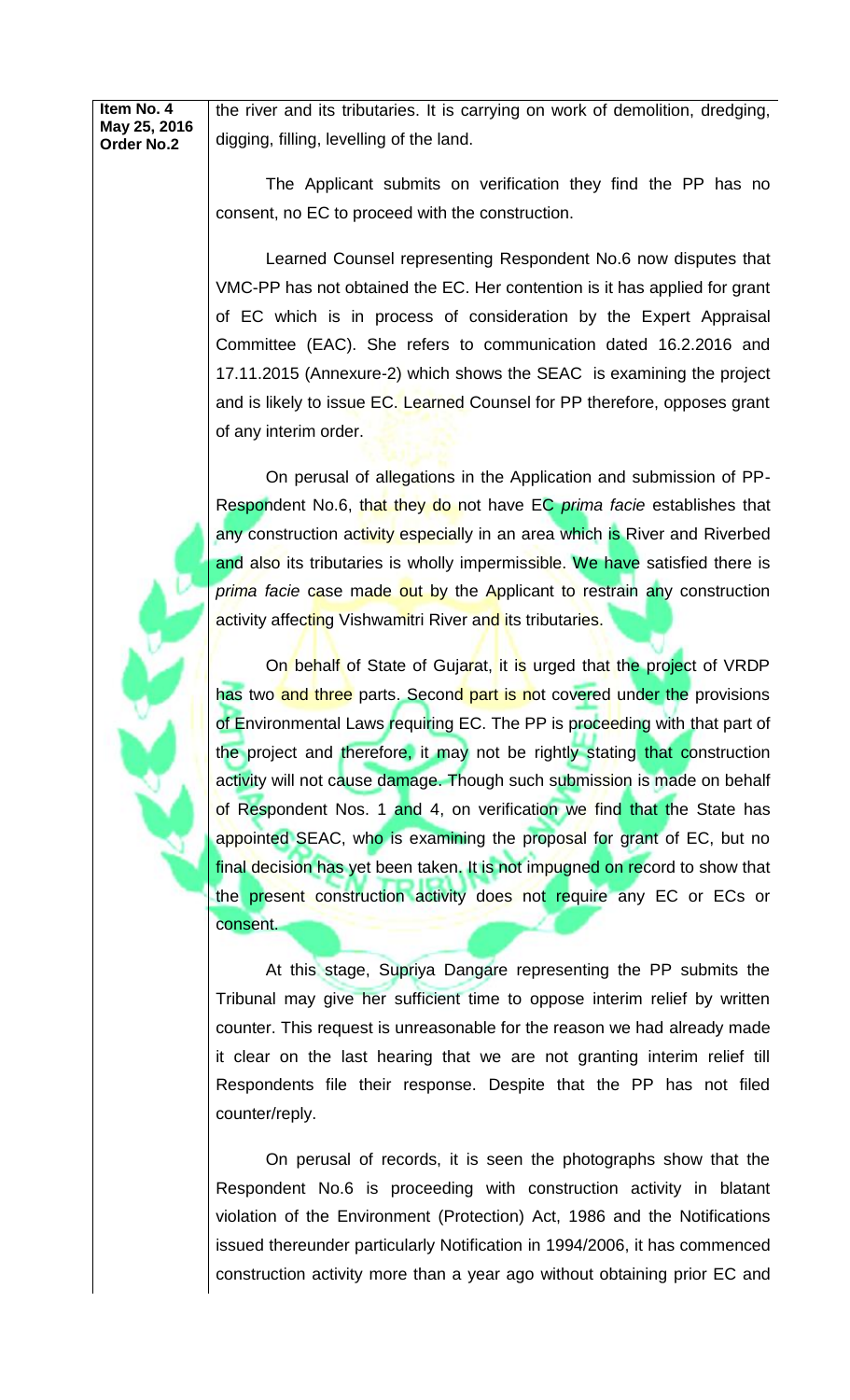**Item No. 4 May 25, 2016 Order No.2** the river and its tributaries. It is carrying on work of demolition, dredging, digging, filling, levelling of the land.

> The Applicant submits on verification they find the PP has no consent, no EC to proceed with the construction.

> Learned Counsel representing Respondent No.6 now disputes that VMC-PP has not obtained the EC. Her contention is it has applied for grant of EC which is in process of consideration by the Expert Appraisal Committee (EAC). She refers to communication dated 16.2.2016 and 17.11.2015 (Annexure-2) which shows the SEAC is examining the project and is likely to issue EC. Learned Counsel for PP therefore, opposes grant of any interim order.

> On perusal of allegations in the Application and submission of PP-Respondent No.6, that they do not have EC *prima facie* establishes that any construction activity especially in an area which is River and Riverbed and also its tributaries is wholly impermissible. We have satisfied there is *prima facie* case made out by the Applicant to restrain any construction activity affecting Vishwamitri River and its tributaries.

> On behalf of State of Gujarat, it is urged that the project of VRDP has two and three parts. Second part is not covered under the provisions of Environmental Laws requiring EC. The PP is proceeding with that part of the project and therefore, it may not be rightly stating that construction activity will not cause damage. Though such submission is made on behalf of Respondent Nos. 1 and 4, on verification we find that the State has appointed SEAC, who is examining the proposal for grant of EC, but no final decision has yet been taken. It is not impugned on record to show that the present construction activity does not require any EC or ECs or consent.

> At this stage, Supriya Dangare representing the PP submits the Tribunal may give her sufficient time to oppose interim relief by written counter. This request is unreasonable for the reason we had already made it clear on the last hearing that we are not granting interim relief till Respondents file their response. Despite that the PP has not filed counter/reply.

> On perusal of records, it is seen the photographs show that the Respondent No.6 is proceeding with construction activity in blatant violation of the Environment (Protection) Act, 1986 and the Notifications issued thereunder particularly Notification in 1994/2006, it has commenced construction activity more than a year ago without obtaining prior EC and